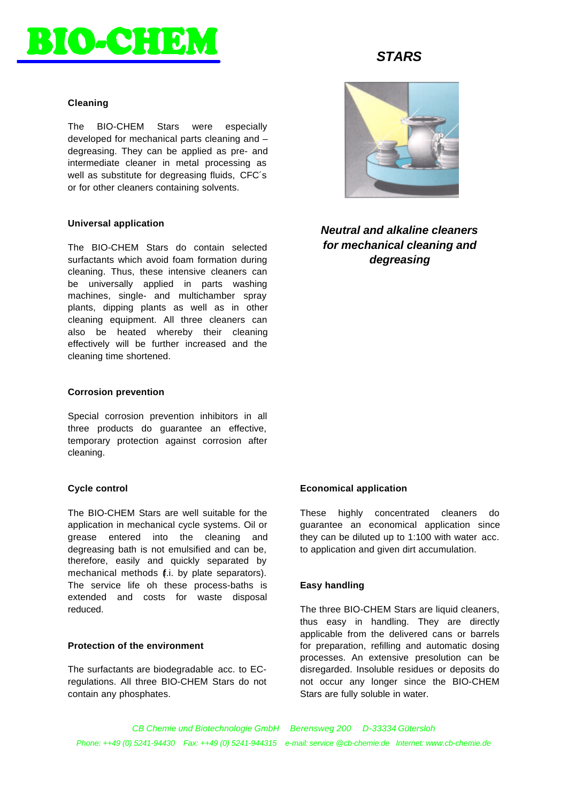

### **Cleaning**

The BIO-CHEM Stars were especially developed for mechanical parts cleaning and – degreasing. They can be applied as pre- and intermediate cleaner in metal processing as well as substitute for degreasing fluids, CFC´s or for other cleaners containing solvents.

# **Universal application**

The BIO-CHEM Stars do contain selected surfactants which avoid foam formation during cleaning. Thus, these intensive cleaners can be universally applied in parts washing machines, single- and multichamber spray plants, dipping plants as well as in other cleaning equipment. All three cleaners can also be heated whereby their cleaning effectively will be further increased and the cleaning time shortened.

#### **Corrosion prevention**

Special corrosion prevention inhibitors in all three products do guarantee an effective, temporary protection against corrosion after cleaning.

#### **Cycle control**

The BIO-CHEM Stars are well suitable for the application in mechanical cycle systems. Oil or grease entered into the cleaning and degreasing bath is not emulsified and can be, therefore, easily and quickly separated by mechanical methods (f.i. by plate separators). The service life oh these process-baths is extended and costs for waste disposal reduced.

# **Protection of the environment**

The surfactants are biodegradable acc. to ECregulations. All three BIO-CHEM Stars do not contain any phosphates.

# *STARS*



*Neutral and alkaline cleaners for mechanical cleaning and degreasing*

#### **Economical application**

These highly concentrated cleaners do guarantee an economical application since they can be diluted up to 1:100 with water acc. to application and given dirt accumulation.

# **Easy handling**

The three BIO-CHEM Stars are liquid cleaners, thus easy in handling. They are directly applicable from the delivered cans or barrels for preparation, refilling and automatic dosing processes. An extensive presolution can be disregarded. Insoluble residues or deposits do not occur any longer since the BIO-CHEM Stars are fully soluble in water.